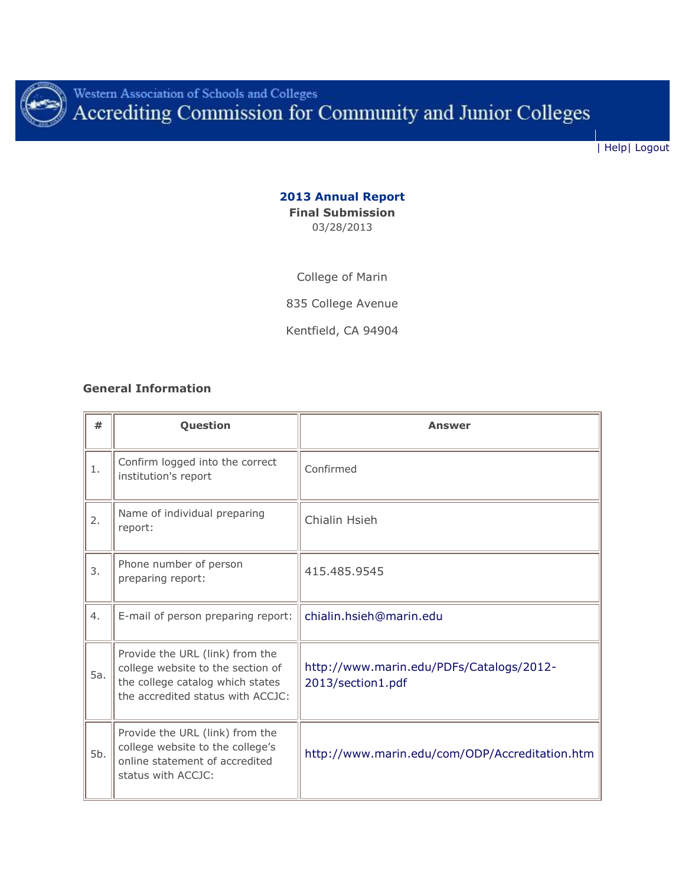

Western Association of Schools and Colleges<br>Accrediting Commission for Community and Junior Colleges

| [Help|](help.php) [Logout](logout.php)

### **2013 Annual Report Final Submission** 03/28/2013

College of Marin

835 College Avenue

Kentfield, CA 94904

### **General Information**

| #   | Question                                                                                                                                      | Answer                                                        |
|-----|-----------------------------------------------------------------------------------------------------------------------------------------------|---------------------------------------------------------------|
| 1.  | Confirm logged into the correct<br>institution's report                                                                                       | Confirmed                                                     |
| 2.  | Name of individual preparing<br>report:                                                                                                       | Chialin Hsieh                                                 |
| 3.  | Phone number of person<br>preparing report:                                                                                                   | 415.485.9545                                                  |
| 4.  | E-mail of person preparing report:                                                                                                            | chialin.hsieh@marin.edu                                       |
| 5a. | Provide the URL (link) from the<br>college website to the section of<br>the college catalog which states<br>the accredited status with ACCJC: | http://www.marin.edu/PDFs/Catalogs/2012-<br>2013/section1.pdf |
| 5b. | Provide the URL (link) from the<br>college website to the college's<br>online statement of accredited<br>status with ACCJC:                   | http://www.marin.edu/com/ODP/Accreditation.htm                |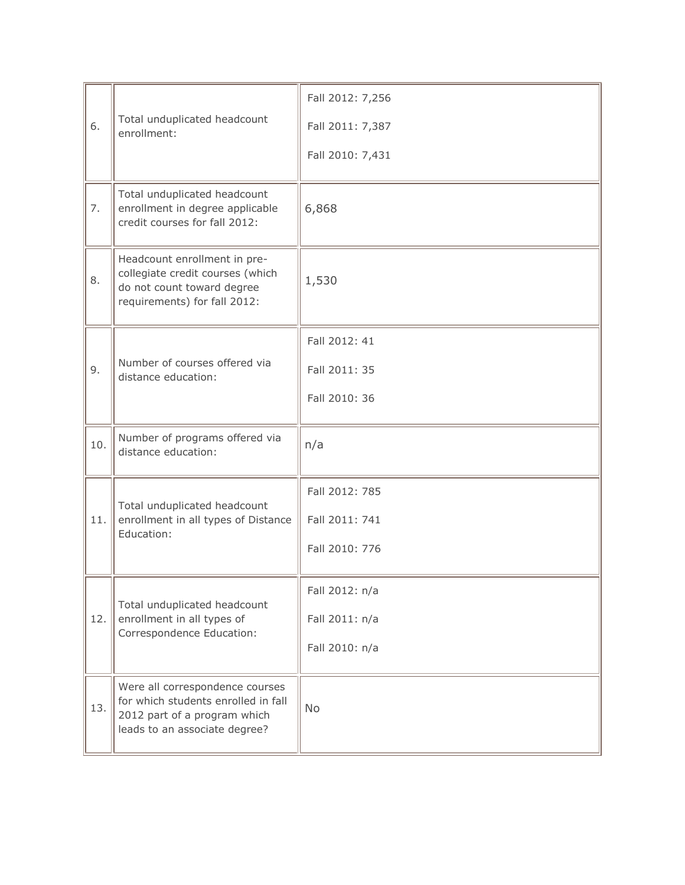| 6.  | Total unduplicated headcount<br>enrollment:                                                                                             | Fall 2012: 7,256<br>Fall 2011: 7,387<br>Fall 2010: 7,431 |
|-----|-----------------------------------------------------------------------------------------------------------------------------------------|----------------------------------------------------------|
| 7.  | Total unduplicated headcount<br>enrollment in degree applicable<br>credit courses for fall 2012:                                        | 6,868                                                    |
| 8.  | Headcount enrollment in pre-<br>collegiate credit courses (which<br>do not count toward degree<br>requirements) for fall 2012:          | 1,530                                                    |
| 9.  | Number of courses offered via<br>distance education:                                                                                    | Fall 2012: 41<br>Fall 2011: 35<br>Fall 2010: 36          |
| 10. | Number of programs offered via<br>distance education:                                                                                   | n/a                                                      |
| 11. | Total unduplicated headcount<br>enrollment in all types of Distance<br>Education:                                                       | Fall 2012: 785<br>Fall 2011: 741<br>Fall 2010: 776       |
| 12. | Total unduplicated headcount<br>enrollment in all types of<br>Correspondence Education:                                                 | Fall 2012: n/a<br>Fall 2011: n/a<br>Fall 2010: n/a       |
| 13. | Were all correspondence courses<br>for which students enrolled in fall<br>2012 part of a program which<br>leads to an associate degree? | No                                                       |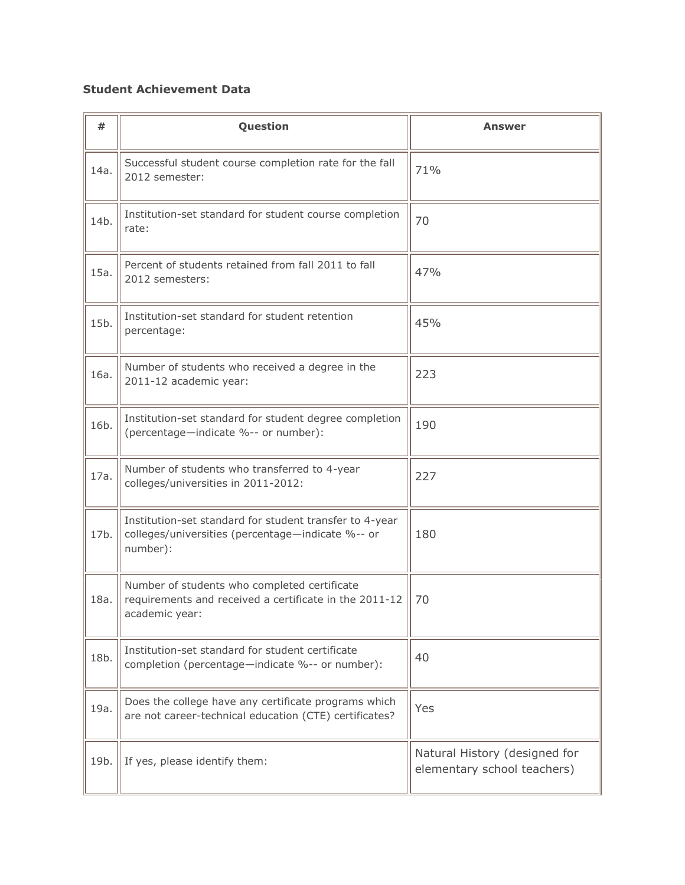# **Student Achievement Data**

| #    | Question                                                                                                                 | <b>Answer</b>                                                |
|------|--------------------------------------------------------------------------------------------------------------------------|--------------------------------------------------------------|
| 14a. | Successful student course completion rate for the fall<br>2012 semester:                                                 | 71%                                                          |
| 14b. | Institution-set standard for student course completion<br>rate:                                                          | 70                                                           |
| 15a. | Percent of students retained from fall 2011 to fall<br>2012 semesters:                                                   | 47%                                                          |
| 15b. | Institution-set standard for student retention<br>percentage:                                                            | 45%                                                          |
| 16a. | Number of students who received a degree in the<br>2011-12 academic year:                                                | 223                                                          |
| 16b. | Institution-set standard for student degree completion<br>(percentage-indicate %-- or number):                           | 190                                                          |
| 17a. | Number of students who transferred to 4-year<br>colleges/universities in 2011-2012:                                      | 227                                                          |
| 17b. | Institution-set standard for student transfer to 4-year<br>colleges/universities (percentage-indicate %-- or<br>number): | 180                                                          |
| 18a. | Number of students who completed certificate<br>requirements and received a certificate in the 2011-12<br>academic year: | 70                                                           |
| 18b. | Institution-set standard for student certificate<br>completion (percentage-indicate %-- or number):                      | 40                                                           |
| 19a. | Does the college have any certificate programs which<br>are not career-technical education (CTE) certificates?           | Yes                                                          |
| 19b. | If yes, please identify them:                                                                                            | Natural History (designed for<br>elementary school teachers) |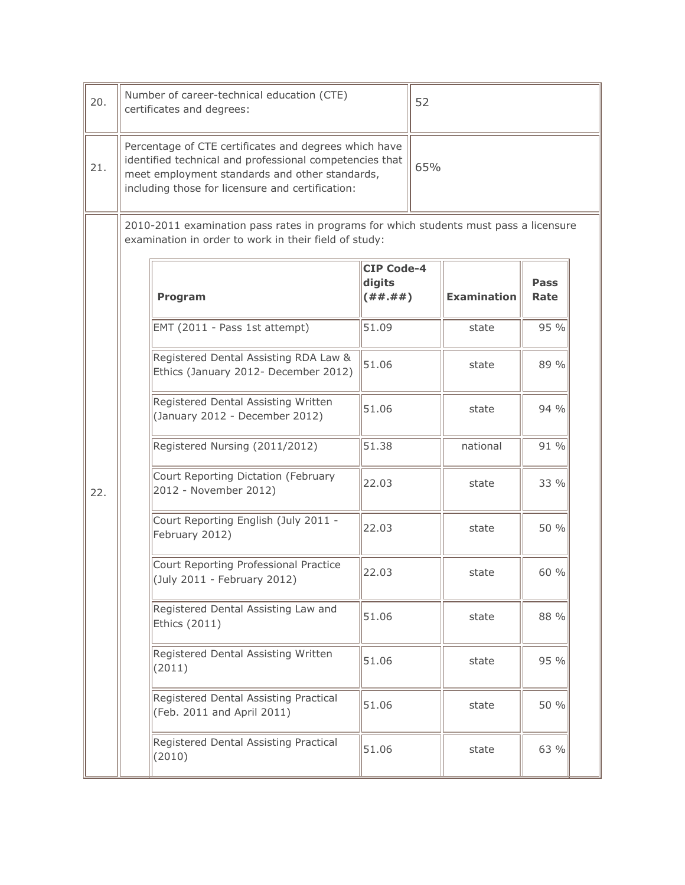| 20.                                                                                                                                            | Number of career-technical education (CTE)<br>certificates and degrees:                                                                                                                                                |                                              | 52  |                    |                     |  |
|------------------------------------------------------------------------------------------------------------------------------------------------|------------------------------------------------------------------------------------------------------------------------------------------------------------------------------------------------------------------------|----------------------------------------------|-----|--------------------|---------------------|--|
| 21.                                                                                                                                            | Percentage of CTE certificates and degrees which have<br>identified technical and professional competencies that<br>meet employment standards and other standards,<br>including those for licensure and certification: |                                              | 65% |                    |                     |  |
| 2010-2011 examination pass rates in programs for which students must pass a licensure<br>examination in order to work in their field of study: |                                                                                                                                                                                                                        |                                              |     |                    |                     |  |
|                                                                                                                                                | Program                                                                                                                                                                                                                | <b>CIP Code-4</b><br>digits<br>( # # . # # ) |     | <b>Examination</b> | <b>Pass</b><br>Rate |  |
|                                                                                                                                                | EMT (2011 - Pass 1st attempt)                                                                                                                                                                                          | 51.09                                        |     | state              | 95%                 |  |
|                                                                                                                                                | Registered Dental Assisting RDA Law &<br>Ethics (January 2012- December 2012)                                                                                                                                          | 51.06                                        |     | state              | 89 %                |  |
|                                                                                                                                                | Registered Dental Assisting Written<br>(January 2012 - December 2012)                                                                                                                                                  | 51.06                                        |     | state              | 94%                 |  |
|                                                                                                                                                | Registered Nursing (2011/2012)                                                                                                                                                                                         | 51.38                                        |     | national           | 91%                 |  |
| 22.                                                                                                                                            | Court Reporting Dictation (February<br>2012 - November 2012)                                                                                                                                                           | 22.03                                        |     | state              | 33 %                |  |
|                                                                                                                                                | Court Reporting English (July 2011 -<br>February 2012)                                                                                                                                                                 | 22.03                                        |     | state              | 50 %                |  |
|                                                                                                                                                | Court Reporting Professional Practice<br>(July 2011 - February 2012)                                                                                                                                                   | 22.03                                        |     | state              | 60 %                |  |
|                                                                                                                                                | Registered Dental Assisting Law and<br><b>Ethics (2011)</b>                                                                                                                                                            | 51.06                                        |     | state              | 88 %                |  |
|                                                                                                                                                | Registered Dental Assisting Written<br>(2011)                                                                                                                                                                          | 51.06                                        |     | state              | 95 %                |  |
|                                                                                                                                                | Registered Dental Assisting Practical<br>(Feb. 2011 and April 2011)                                                                                                                                                    | 51.06                                        |     | state              | 50 %                |  |
|                                                                                                                                                | Registered Dental Assisting Practical<br>(2010)                                                                                                                                                                        | 51.06                                        |     | state              | 63 %                |  |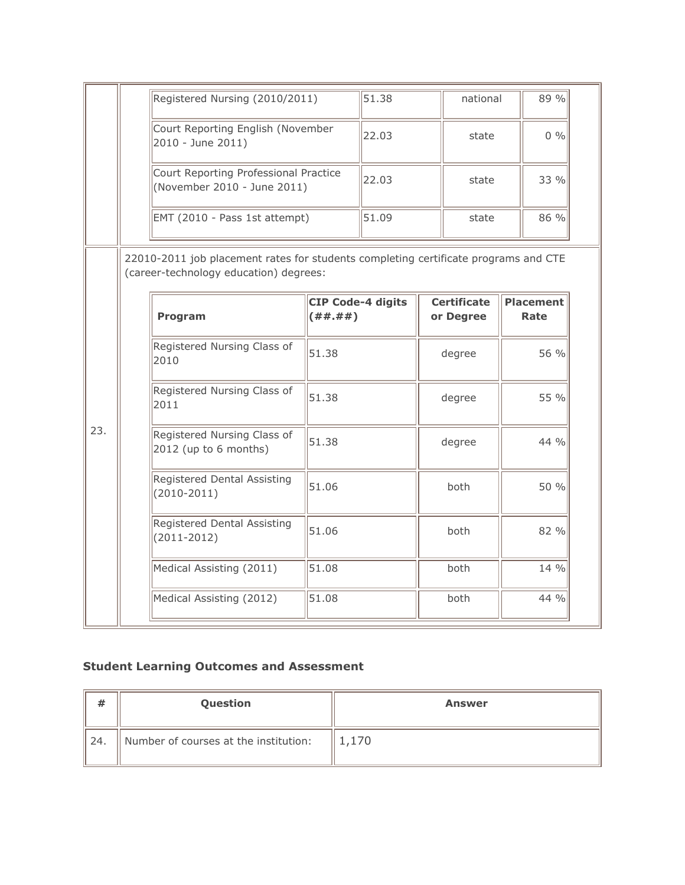|     | Registered Nursing (2010/2011)                                                                                                |                                           | 51.38 |  | national                        |                          | 89 % |
|-----|-------------------------------------------------------------------------------------------------------------------------------|-------------------------------------------|-------|--|---------------------------------|--------------------------|------|
|     | Court Reporting English (November<br>2010 - June 2011)                                                                        |                                           | 22.03 |  | state                           |                          | 0 %  |
|     | Court Reporting Professional Practice<br>(November 2010 - June 2011)                                                          |                                           | 22.03 |  | state                           |                          | 33 % |
|     | EMT (2010 - Pass 1st attempt)                                                                                                 |                                           | 51.09 |  | state                           |                          | 86 % |
|     | 22010-2011 job placement rates for students completing certificate programs and CTE<br>(career-technology education) degrees: |                                           |       |  |                                 |                          |      |
|     | Program                                                                                                                       | <b>CIP Code-4 digits</b><br>( # # . # # ) |       |  | <b>Certificate</b><br>or Degree | <b>Placement</b><br>Rate |      |
| 23. | Registered Nursing Class of<br>2010                                                                                           | 51.38                                     |       |  | degree                          |                          | 56 % |
|     | Registered Nursing Class of<br>2011                                                                                           | 51.38                                     |       |  | degree                          |                          | 55 % |
|     | Registered Nursing Class of<br>2012 (up to 6 months)                                                                          | 51.38                                     |       |  | degree                          |                          | 44 % |
|     | Registered Dental Assisting<br>$(2010 - 2011)$                                                                                | 51.06                                     |       |  | both                            |                          | 50 % |
|     |                                                                                                                               |                                           |       |  |                                 |                          | 82 % |
|     | Registered Dental Assisting<br>$(2011 - 2012)$                                                                                | 51.06                                     |       |  | both                            |                          |      |
|     | Medical Assisting (2011)                                                                                                      | 51.08                                     |       |  | both                            |                          | 14 % |

# **Student Learning Outcomes and Assessment**

| #                     | Question                              | <b>Answer</b> |
|-----------------------|---------------------------------------|---------------|
| $^{\prime\prime}$ 24. | Number of courses at the institution: | 1,170         |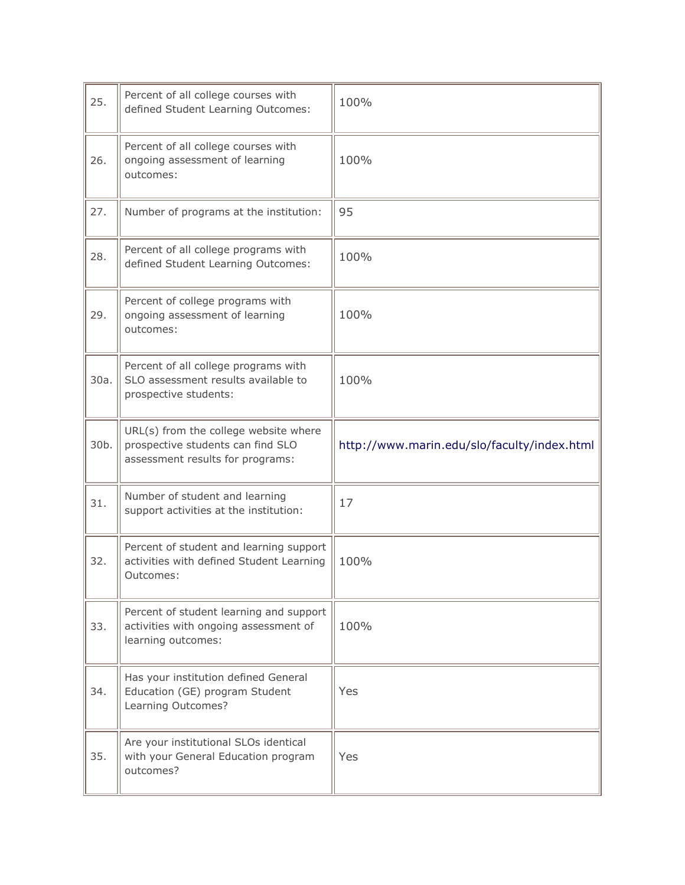| 25.  | Percent of all college courses with<br>defined Student Learning Outcomes:                                      | 100%                                        |
|------|----------------------------------------------------------------------------------------------------------------|---------------------------------------------|
| 26.  | Percent of all college courses with<br>ongoing assessment of learning<br>outcomes:                             | 100%                                        |
| 27.  | Number of programs at the institution:                                                                         | 95                                          |
| 28.  | Percent of all college programs with<br>defined Student Learning Outcomes:                                     | 100%                                        |
| 29.  | Percent of college programs with<br>ongoing assessment of learning<br>outcomes:                                | 100%                                        |
| 30a. | Percent of all college programs with<br>SLO assessment results available to<br>prospective students:           | 100%                                        |
| 30b. | URL(s) from the college website where<br>prospective students can find SLO<br>assessment results for programs: | http://www.marin.edu/slo/faculty/index.html |
| 31.  | Number of student and learning<br>support activities at the institution:                                       | 17                                          |
| 32.  | Percent of student and learning support<br>activities with defined Student Learning<br>Outcomes:               | 100%                                        |
| 33.  | Percent of student learning and support<br>activities with ongoing assessment of<br>learning outcomes:         | 100%                                        |
| 34.  | Has your institution defined General<br>Education (GE) program Student<br>Learning Outcomes?                   | Yes                                         |
| 35.  | Are your institutional SLOs identical<br>with your General Education program<br>outcomes?                      | Yes                                         |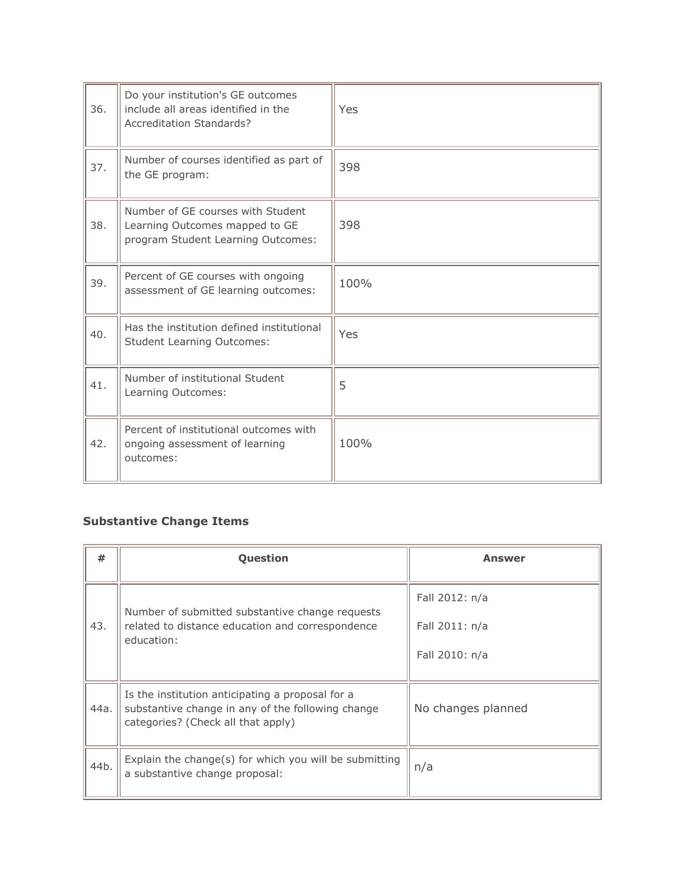| 36. | Do your institution's GE outcomes<br>include all areas identified in the<br>Accreditation Standards?      | Yes  |
|-----|-----------------------------------------------------------------------------------------------------------|------|
| 37. | Number of courses identified as part of<br>the GE program:                                                | 398  |
| 38. | Number of GE courses with Student<br>Learning Outcomes mapped to GE<br>program Student Learning Outcomes: | 398  |
| 39. | Percent of GE courses with ongoing<br>assessment of GE learning outcomes:                                 | 100% |
| 40. | Has the institution defined institutional<br><b>Student Learning Outcomes:</b>                            | Yes  |
| 41. | Number of institutional Student<br>Learning Outcomes:                                                     | 5    |
| 42. | Percent of institutional outcomes with<br>ongoing assessment of learning<br>outcomes:                     | 100% |

### **Substantive Change Items**

j.

| #    | Question                                                                                                                                    | <b>Answer</b>                                      |
|------|---------------------------------------------------------------------------------------------------------------------------------------------|----------------------------------------------------|
| 43.  | Number of submitted substantive change requests<br>related to distance education and correspondence<br>education:                           | Fall 2012: n/a<br>Fall 2011: n/a<br>Fall 2010: n/a |
| 44a. | Is the institution anticipating a proposal for a<br>substantive change in any of the following change<br>categories? (Check all that apply) | No changes planned                                 |
| 44b. | Explain the change(s) for which you will be submitting<br>a substantive change proposal:                                                    | n/a                                                |